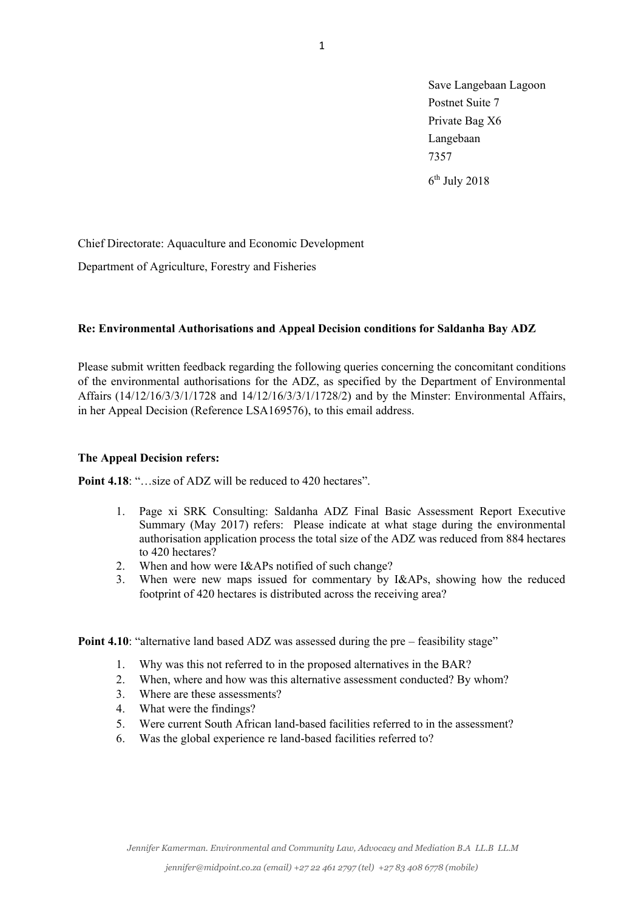Save Langebaan Lagoon Postnet Suite 7 Private Bag X6 Langebaan 7357  $6<sup>th</sup>$  July 2018

Chief Directorate: Aquaculture and Economic Development

Department of Agriculture, Forestry and Fisheries

## **Re: Environmental Authorisations and Appeal Decision conditions for Saldanha Bay ADZ**

Please submit written feedback regarding the following queries concerning the concomitant conditions of the environmental authorisations for the ADZ, as specified by the Department of Environmental Affairs (14/12/16/3/3/1/1728 and 14/12/16/3/3/1/1728/2) and by the Minster: Environmental Affairs, in her Appeal Decision (Reference LSA169576), to this email address.

## **The Appeal Decision refers:**

**Point 4.18:** "... size of ADZ will be reduced to 420 hectares".

- 1. Page xi SRK Consulting: Saldanha ADZ Final Basic Assessment Report Executive Summary (May 2017) refers: Please indicate at what stage during the environmental authorisation application process the total size of the ADZ was reduced from 884 hectares to 420 hectares?
- 2. When and how were I&APs notified of such change?
- 3. When were new maps issued for commentary by I&APs, showing how the reduced footprint of 420 hectares is distributed across the receiving area?

**Point 4.10**: "alternative land based ADZ was assessed during the pre – feasibility stage"

- 1. Why was this not referred to in the proposed alternatives in the BAR?
- 2. When, where and how was this alternative assessment conducted? By whom?
- 3. Where are these assessments?
- 4. What were the findings?
- 5. Were current South African land-based facilities referred to in the assessment?
- 6. Was the global experience re land-based facilities referred to?

*Jennifer Kamerman. Environmental and Community Law, Advocacy and Mediation B.A LL.B LL.M*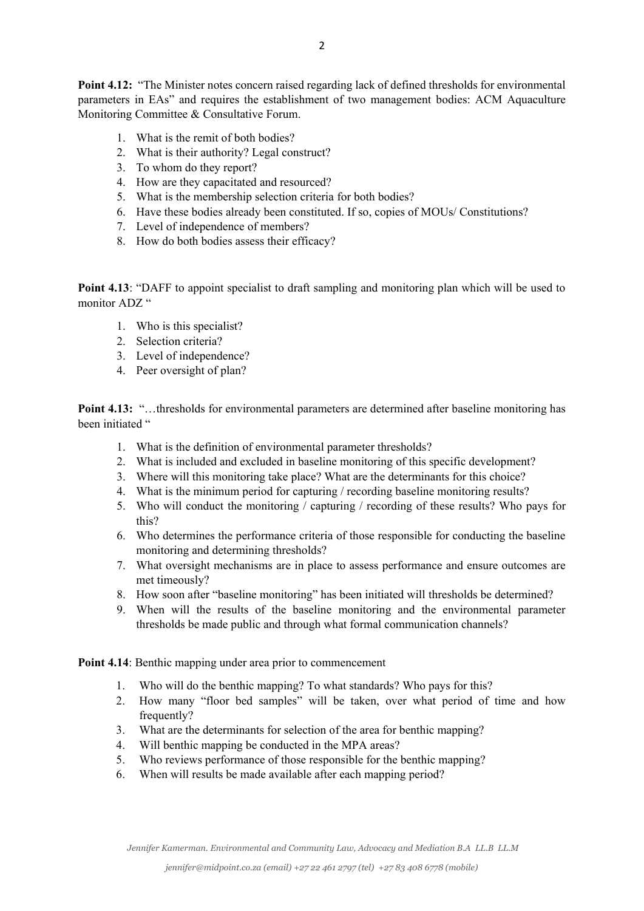**Point 4.12:** "The Minister notes concern raised regarding lack of defined thresholds for environmental parameters in EAs" and requires the establishment of two management bodies: ACM Aquaculture Monitoring Committee & Consultative Forum.

- 1. What is the remit of both bodies?
- 2. What is their authority? Legal construct?
- 3. To whom do they report?
- 4. How are they capacitated and resourced?
- 5. What is the membership selection criteria for both bodies?
- 6. Have these bodies already been constituted. If so, copies of MOUs/ Constitutions?
- 7. Level of independence of members?
- 8. How do both bodies assess their efficacy?

**Point 4.13**: "DAFF to appoint specialist to draft sampling and monitoring plan which will be used to monitor ADZ "

- 1. Who is this specialist?
- 2. Selection criteria?
- 3. Level of independence?
- 4. Peer oversight of plan?

**Point 4.13:** "…thresholds for environmental parameters are determined after baseline monitoring has been initiated "

- 1. What is the definition of environmental parameter thresholds?
- 2. What is included and excluded in baseline monitoring of this specific development?
- 3. Where will this monitoring take place? What are the determinants for this choice?
- 4. What is the minimum period for capturing / recording baseline monitoring results?
- 5. Who will conduct the monitoring / capturing / recording of these results? Who pays for this?
- 6. Who determines the performance criteria of those responsible for conducting the baseline monitoring and determining thresholds?
- 7. What oversight mechanisms are in place to assess performance and ensure outcomes are met timeously?
- 8. How soon after "baseline monitoring" has been initiated will thresholds be determined?
- 9. When will the results of the baseline monitoring and the environmental parameter thresholds be made public and through what formal communication channels?

**Point 4.14**: Benthic mapping under area prior to commencement

- 1. Who will do the benthic mapping? To what standards? Who pays for this?
- 2. How many "floor bed samples" will be taken, over what period of time and how frequently?
- 3. What are the determinants for selection of the area for benthic mapping?
- 4. Will benthic mapping be conducted in the MPA areas?
- 5. Who reviews performance of those responsible for the benthic mapping?
- 6. When will results be made available after each mapping period?

*Jennifer Kamerman. Environmental and Community Law, Advocacy and Mediation B.A LL.B LL.M*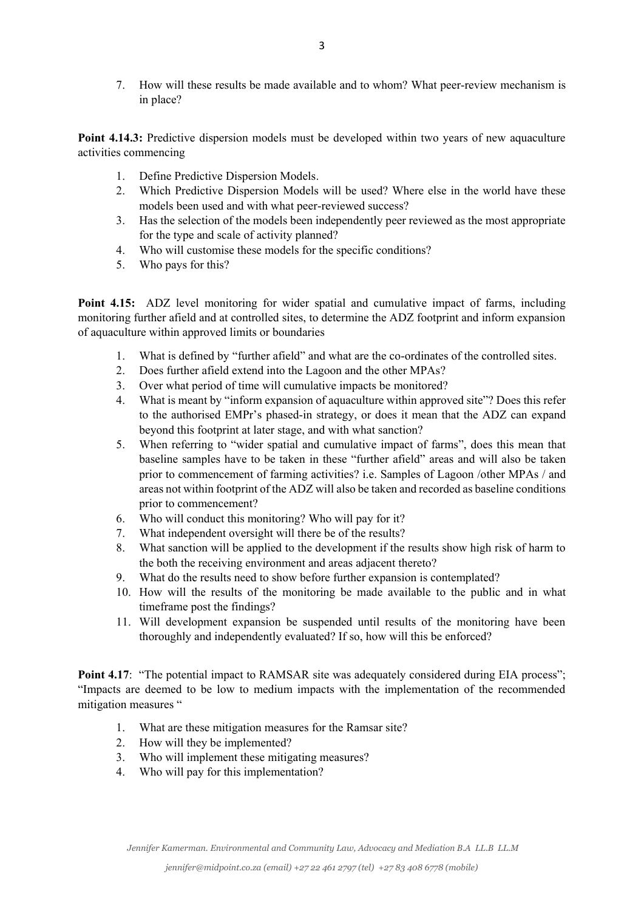7. How will these results be made available and to whom? What peer-review mechanism is in place?

**Point 4.14.3:** Predictive dispersion models must be developed within two years of new aquaculture activities commencing

- 1. Define Predictive Dispersion Models.
- 2. Which Predictive Dispersion Models will be used? Where else in the world have these models been used and with what peer-reviewed success?
- 3. Has the selection of the models been independently peer reviewed as the most appropriate for the type and scale of activity planned?
- 4. Who will customise these models for the specific conditions?
- 5. Who pays for this?

**Point 4.15:** ADZ level monitoring for wider spatial and cumulative impact of farms, including monitoring further afield and at controlled sites, to determine the ADZ footprint and inform expansion of aquaculture within approved limits or boundaries

- 1. What is defined by "further afield" and what are the co-ordinates of the controlled sites.
- 2. Does further afield extend into the Lagoon and the other MPAs?
- 3. Over what period of time will cumulative impacts be monitored?
- 4. What is meant by "inform expansion of aquaculture within approved site"? Does this refer to the authorised EMPr's phased-in strategy, or does it mean that the ADZ can expand beyond this footprint at later stage, and with what sanction?
- 5. When referring to "wider spatial and cumulative impact of farms", does this mean that baseline samples have to be taken in these "further afield" areas and will also be taken prior to commencement of farming activities? i.e. Samples of Lagoon /other MPAs / and areas not within footprint of the ADZ will also be taken and recorded as baseline conditions prior to commencement?
- 6. Who will conduct this monitoring? Who will pay for it?
- 7. What independent oversight will there be of the results?
- 8. What sanction will be applied to the development if the results show high risk of harm to the both the receiving environment and areas adjacent thereto?
- 9. What do the results need to show before further expansion is contemplated?
- 10. How will the results of the monitoring be made available to the public and in what timeframe post the findings?
- 11. Will development expansion be suspended until results of the monitoring have been thoroughly and independently evaluated? If so, how will this be enforced?

Point 4.17: "The potential impact to RAMSAR site was adequately considered during EIA process"; "Impacts are deemed to be low to medium impacts with the implementation of the recommended mitigation measures "

- 1. What are these mitigation measures for the Ramsar site?
- 2. How will they be implemented?
- 3. Who will implement these mitigating measures?
- 4. Who will pay for this implementation?

*Jennifer Kamerman. Environmental and Community Law, Advocacy and Mediation B.A LL.B LL.M*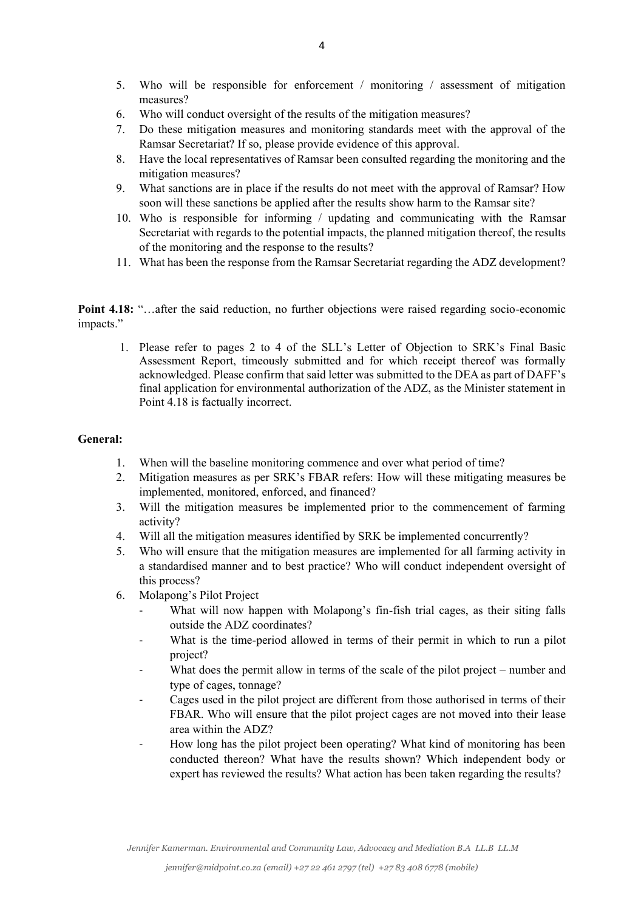- 5. Who will be responsible for enforcement / monitoring / assessment of mitigation measures?
- 6. Who will conduct oversight of the results of the mitigation measures?
- 7. Do these mitigation measures and monitoring standards meet with the approval of the Ramsar Secretariat? If so, please provide evidence of this approval.
- 8. Have the local representatives of Ramsar been consulted regarding the monitoring and the mitigation measures?
- 9. What sanctions are in place if the results do not meet with the approval of Ramsar? How soon will these sanctions be applied after the results show harm to the Ramsar site?
- 10. Who is responsible for informing / updating and communicating with the Ramsar Secretariat with regards to the potential impacts, the planned mitigation thereof, the results of the monitoring and the response to the results?
- 11. What has been the response from the Ramsar Secretariat regarding the ADZ development?

**Point 4.18:** "...after the said reduction, no further objections were raised regarding socio-economic impacts."

1. Please refer to pages 2 to 4 of the SLL's Letter of Objection to SRK's Final Basic Assessment Report, timeously submitted and for which receipt thereof was formally acknowledged. Please confirm that said letter was submitted to the DEA as part of DAFF's final application for environmental authorization of the ADZ, as the Minister statement in Point 4.18 is factually incorrect.

## **General:**

- 1. When will the baseline monitoring commence and over what period of time?
- 2. Mitigation measures as per SRK's FBAR refers: How will these mitigating measures be implemented, monitored, enforced, and financed?
- 3. Will the mitigation measures be implemented prior to the commencement of farming activity?
- 4. Will all the mitigation measures identified by SRK be implemented concurrently?
- 5. Who will ensure that the mitigation measures are implemented for all farming activity in a standardised manner and to best practice? Who will conduct independent oversight of this process?
- 6. Molapong's Pilot Project
	- What will now happen with Molapong's fin-fish trial cages, as their siting falls outside the ADZ coordinates?
	- What is the time-period allowed in terms of their permit in which to run a pilot project?
	- What does the permit allow in terms of the scale of the pilot project number and type of cages, tonnage?
	- Cages used in the pilot project are different from those authorised in terms of their FBAR. Who will ensure that the pilot project cages are not moved into their lease area within the ADZ?
	- How long has the pilot project been operating? What kind of monitoring has been conducted thereon? What have the results shown? Which independent body or expert has reviewed the results? What action has been taken regarding the results?